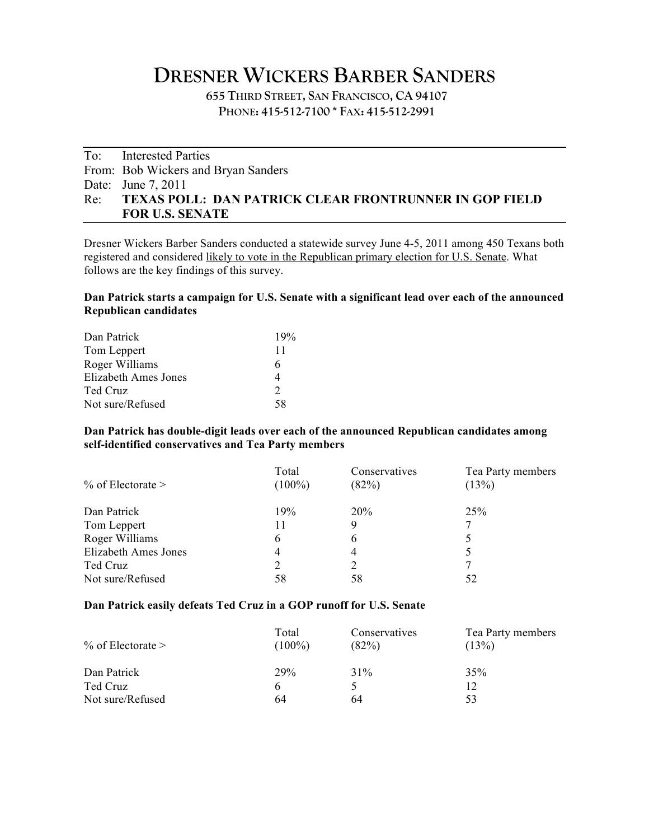# **DRESNER WICKERS BARBER SANDERS**

**655 THIRD STREET, SAN FRANCISCO, CA 94107 PHONE: 415-512-7100 \* FAX: 415-512-2991**

## To: Interested Parties From: Bob Wickers and Bryan Sanders Date: June 7, 2011 Re: **TEXAS POLL: DAN PATRICK CLEAR FRONTRUNNER IN GOP FIELD FOR U.S. SENATE**

Dresner Wickers Barber Sanders conducted a statewide survey June 4-5, 2011 among 450 Texans both registered and considered likely to vote in the Republican primary election for U.S. Senate. What follows are the key findings of this survey.

#### **Dan Patrick starts a campaign for U.S. Senate with a significant lead over each of the announced Republican candidates**

| Dan Patrick          | 19%           |
|----------------------|---------------|
| Tom Leppert          | 11            |
| Roger Williams       | 6             |
| Elizabeth Ames Jones |               |
| Ted Cruz             | $\mathcal{D}$ |
| Not sure/Refused     | 58            |

#### **Dan Patrick has double-digit leads over each of the announced Republican candidates among self-identified conservatives and Tea Party members**

| $\%$ of Electorate >        | Total<br>$(100\%)$ | Conservatives<br>(82%) | Tea Party members<br>(13%) |
|-----------------------------|--------------------|------------------------|----------------------------|
| Dan Patrick                 | 19%                | 20%                    | 25%                        |
| Tom Leppert                 |                    | 9                      | 7                          |
| Roger Williams              | <sub>b</sub>       | 6                      |                            |
| <b>Elizabeth Ames Jones</b> | 4                  | 4                      |                            |
| Ted Cruz                    |                    |                        |                            |
| Not sure/Refused            | 58                 | 58                     | 52                         |

#### **Dan Patrick easily defeats Ted Cruz in a GOP runoff for U.S. Senate**

| $\%$ of Electorate > | Total<br>$(100\%)$ | Conservatives<br>(82%) | Tea Party members<br>(13%) |
|----------------------|--------------------|------------------------|----------------------------|
| Dan Patrick          | <b>29%</b>         | 31%                    | 35%                        |
| Ted Cruz             | h                  |                        |                            |
| Not sure/Refused     | 64                 | 64                     | 53                         |